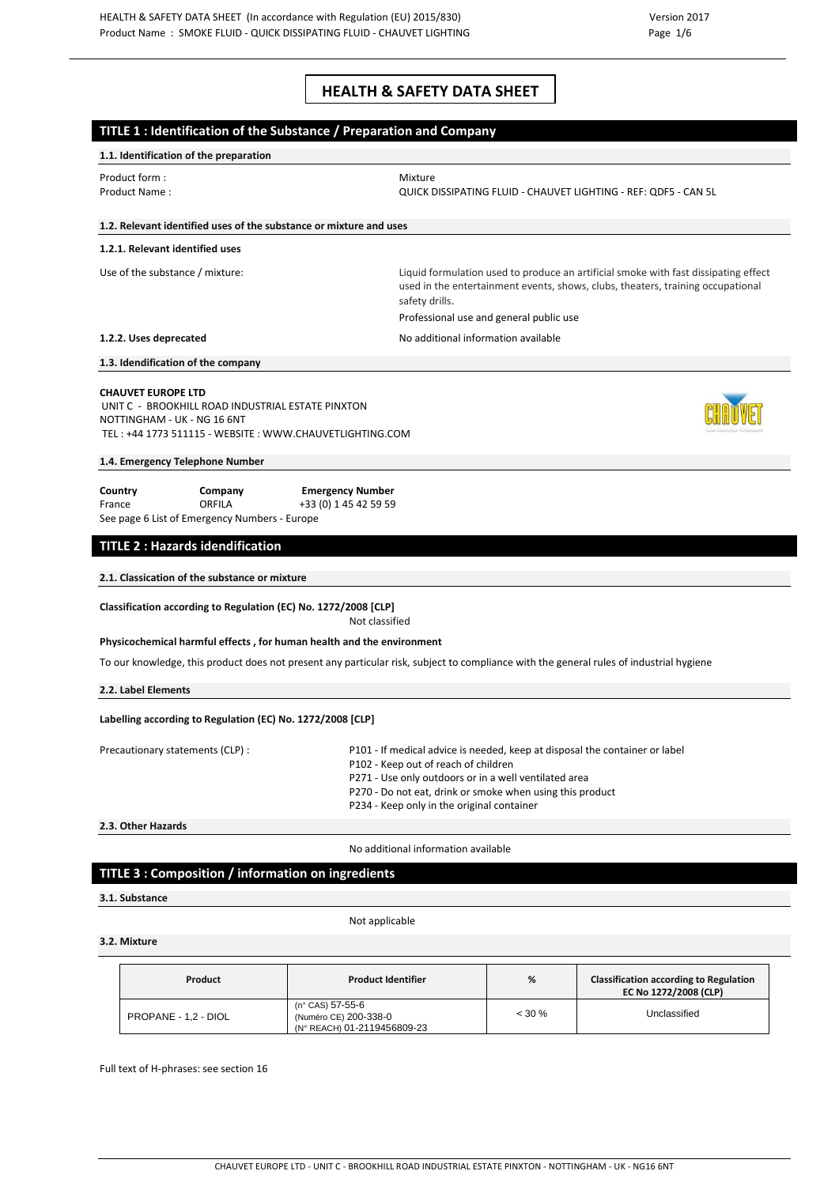# **HEALTH & SAFETY DATA SHEET**

|                                 |                                                                                                                                                                                                                                                                                                                             | TITLE 1 : Identification of the Substance / Preparation and Company                                                                     |                                                                                                                                                                                                                   |                                                                 |
|---------------------------------|-----------------------------------------------------------------------------------------------------------------------------------------------------------------------------------------------------------------------------------------------------------------------------------------------------------------------------|-----------------------------------------------------------------------------------------------------------------------------------------|-------------------------------------------------------------------------------------------------------------------------------------------------------------------------------------------------------------------|-----------------------------------------------------------------|
|                                 | 1.1. Identification of the preparation                                                                                                                                                                                                                                                                                      |                                                                                                                                         |                                                                                                                                                                                                                   |                                                                 |
|                                 | Product form:<br>Product Name:                                                                                                                                                                                                                                                                                              | Mixture                                                                                                                                 |                                                                                                                                                                                                                   | QUICK DISSIPATING FLUID - CHAUVET LIGHTING - REF: QDF5 - CAN 5L |
|                                 | 1.2. Relevant identified uses of the substance or mixture and uses                                                                                                                                                                                                                                                          |                                                                                                                                         |                                                                                                                                                                                                                   |                                                                 |
|                                 | 1.2.1. Relevant identified uses                                                                                                                                                                                                                                                                                             |                                                                                                                                         |                                                                                                                                                                                                                   |                                                                 |
| Use of the substance / mixture: |                                                                                                                                                                                                                                                                                                                             | safety drills.                                                                                                                          | Liquid formulation used to produce an artificial smoke with fast dissipating effect<br>used in the entertainment events, shows, clubs, theaters, training occupational<br>Professional use and general public use |                                                                 |
|                                 | 1.2.2. Uses deprecated                                                                                                                                                                                                                                                                                                      |                                                                                                                                         | No additional information available                                                                                                                                                                               |                                                                 |
|                                 | 1.3. Idendification of the company                                                                                                                                                                                                                                                                                          |                                                                                                                                         |                                                                                                                                                                                                                   |                                                                 |
|                                 | <b>CHAUVET EUROPE LTD</b><br>UNIT C - BROOKHILL ROAD INDUSTRIAL ESTATE PINXTON<br>NOTTINGHAM - UK - NG 16 6NT<br>TEL: +44 1773 511115 - WEBSITE: WWW.CHAUVETLIGHTING.COM                                                                                                                                                    |                                                                                                                                         |                                                                                                                                                                                                                   |                                                                 |
|                                 | 1.4. Emergency Telephone Number                                                                                                                                                                                                                                                                                             |                                                                                                                                         |                                                                                                                                                                                                                   |                                                                 |
| Country<br>France               | Company<br><b>ORFILA</b><br>See page 6 List of Emergency Numbers - Europe                                                                                                                                                                                                                                                   | <b>Emergency Number</b><br>+33 (0) 1 45 42 59 59                                                                                        |                                                                                                                                                                                                                   |                                                                 |
|                                 | <b>TITLE 2: Hazards idendification</b>                                                                                                                                                                                                                                                                                      |                                                                                                                                         |                                                                                                                                                                                                                   |                                                                 |
|                                 | 2.1. Classication of the substance or mixture                                                                                                                                                                                                                                                                               |                                                                                                                                         |                                                                                                                                                                                                                   |                                                                 |
|                                 | Classification according to Regulation (EC) No. 1272/2008 [CLP]                                                                                                                                                                                                                                                             | Not classified                                                                                                                          |                                                                                                                                                                                                                   |                                                                 |
|                                 | Physicochemical harmful effects, for human health and the environment                                                                                                                                                                                                                                                       |                                                                                                                                         |                                                                                                                                                                                                                   |                                                                 |
|                                 |                                                                                                                                                                                                                                                                                                                             | To our knowledge, this product does not present any particular risk, subject to compliance with the general rules of industrial hygiene |                                                                                                                                                                                                                   |                                                                 |
|                                 | 2.2. Label Elements                                                                                                                                                                                                                                                                                                         |                                                                                                                                         |                                                                                                                                                                                                                   |                                                                 |
|                                 | Labelling according to Regulation (EC) No. 1272/2008 [CLP]                                                                                                                                                                                                                                                                  |                                                                                                                                         |                                                                                                                                                                                                                   |                                                                 |
|                                 | Precautionary statements (CLP) :<br>P101 - If medical advice is needed, keep at disposal the container or label<br>P102 - Keep out of reach of children<br>P271 - Use only outdoors or in a well ventilated area<br>P270 - Do not eat, drink or smoke when using this product<br>P234 - Keep only in the original container |                                                                                                                                         |                                                                                                                                                                                                                   |                                                                 |
|                                 | 2.3. Other Hazards                                                                                                                                                                                                                                                                                                          |                                                                                                                                         |                                                                                                                                                                                                                   |                                                                 |
|                                 |                                                                                                                                                                                                                                                                                                                             | No additional information available                                                                                                     |                                                                                                                                                                                                                   |                                                                 |
|                                 | TITLE 3 : Composition / information on ingredients                                                                                                                                                                                                                                                                          |                                                                                                                                         |                                                                                                                                                                                                                   |                                                                 |
|                                 | 3.1. Substance                                                                                                                                                                                                                                                                                                              |                                                                                                                                         |                                                                                                                                                                                                                   |                                                                 |
|                                 |                                                                                                                                                                                                                                                                                                                             | Not applicable                                                                                                                          |                                                                                                                                                                                                                   |                                                                 |
|                                 | 3.2. Mixture                                                                                                                                                                                                                                                                                                                |                                                                                                                                         |                                                                                                                                                                                                                   |                                                                 |
|                                 | <b>Droduct</b>                                                                                                                                                                                                                                                                                                              | Droduct Idontifior                                                                                                                      | O                                                                                                                                                                                                                 | Clarcification according to Poquiation                          |

| Product              | <b>Product Identifier</b>                                                | %         | <b>Classification according to Regulation</b><br>EC No 1272/2008 (CLP) |
|----------------------|--------------------------------------------------------------------------|-----------|------------------------------------------------------------------------|
| PROPANE - 1,2 - DIOL | (n° CAS) 57-55-6<br>(Numéro CE) 200-338-0<br>(N° REACH) 01-2119456809-23 | $< 30 \%$ | Unclassified                                                           |

Full text of H-phrases: see section 16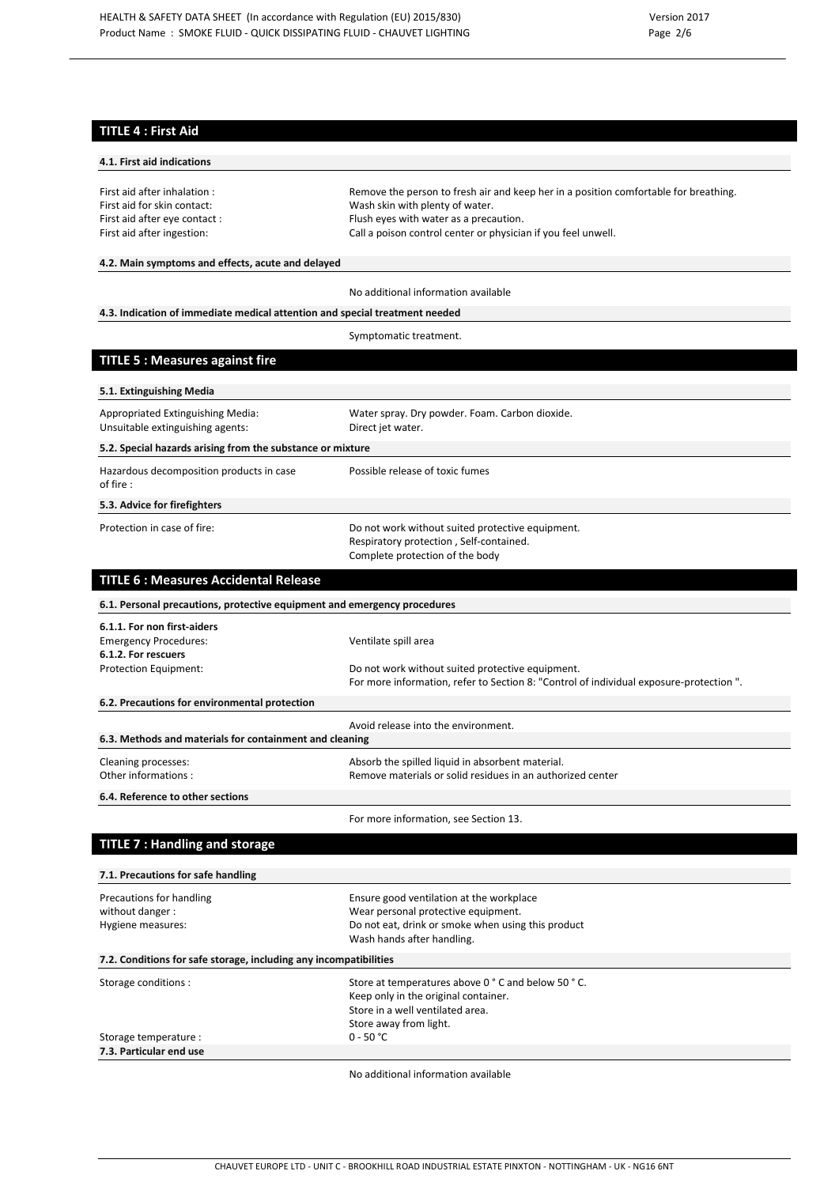# **TITLE 4 : First Aid**

| 4.1. First aid indications                                                  |                                                                                                                                            |
|-----------------------------------------------------------------------------|--------------------------------------------------------------------------------------------------------------------------------------------|
| First aid after inhalation :                                                | Remove the person to fresh air and keep her in a position comfortable for breathing.                                                       |
| First aid for skin contact:                                                 | Wash skin with plenty of water.                                                                                                            |
| First aid after eye contact :                                               | Flush eyes with water as a precaution.                                                                                                     |
| First aid after ingestion:                                                  | Call a poison control center or physician if you feel unwell.                                                                              |
|                                                                             |                                                                                                                                            |
| 4.2. Main symptoms and effects, acute and delayed                           |                                                                                                                                            |
|                                                                             | No additional information available                                                                                                        |
| 4.3. Indication of immediate medical attention and special treatment needed |                                                                                                                                            |
|                                                                             | Symptomatic treatment.                                                                                                                     |
| <b>TITLE 5: Measures against fire</b>                                       |                                                                                                                                            |
| 5.1. Extinguishing Media                                                    |                                                                                                                                            |
| Appropriated Extinguishing Media:                                           | Water spray. Dry powder. Foam. Carbon dioxide.                                                                                             |
| Unsuitable extinguishing agents:                                            | Direct jet water.                                                                                                                          |
| 5.2. Special hazards arising from the substance or mixture                  |                                                                                                                                            |
| Hazardous decomposition products in case<br>of fire :                       | Possible release of toxic fumes                                                                                                            |
| 5.3. Advice for firefighters                                                |                                                                                                                                            |
| Protection in case of fire:                                                 |                                                                                                                                            |
|                                                                             | Do not work without suited protective equipment.                                                                                           |
|                                                                             | Respiratory protection, Self-contained.<br>Complete protection of the body                                                                 |
|                                                                             |                                                                                                                                            |
| <b>TITLE 6: Measures Accidental Release</b>                                 |                                                                                                                                            |
| 6.1. Personal precautions, protective equipment and emergency procedures    |                                                                                                                                            |
| 6.1.1. For non first-aiders                                                 |                                                                                                                                            |
| <b>Emergency Procedures:</b>                                                | Ventilate spill area                                                                                                                       |
| 6.1.2. For rescuers                                                         |                                                                                                                                            |
| Protection Equipment:                                                       | Do not work without suited protective equipment.<br>For more information, refer to Section 8: "Control of individual exposure-protection". |
| 6.2. Precautions for environmental protection                               |                                                                                                                                            |
|                                                                             | Avoid release into the environment.                                                                                                        |
| 6.3. Methods and materials for containment and cleaning                     |                                                                                                                                            |
| Cleaning processes:                                                         | Absorb the spilled liquid in absorbent material.                                                                                           |
| Other informations:                                                         | Remove materials or solid residues in an authorized center                                                                                 |
| 6.4. Reference to other sections                                            |                                                                                                                                            |
|                                                                             | For more information, see Section 13.                                                                                                      |
| <b>TITLE 7: Handling and storage</b>                                        |                                                                                                                                            |
|                                                                             |                                                                                                                                            |
| 7.1. Precautions for safe handling                                          |                                                                                                                                            |
| Precautions for handling                                                    | Ensure good ventilation at the workplace                                                                                                   |
| without danger:<br>Hygiene measures:                                        | Wear personal protective equipment.<br>Do not eat, drink or smoke when using this product                                                  |
|                                                                             | Wash hands after handling.                                                                                                                 |
| 7.2. Conditions for safe storage, including any incompatibilities           |                                                                                                                                            |
| Storage conditions :                                                        | Store at temperatures above 0 ° C and below 50 ° C.                                                                                        |
|                                                                             | Keep only in the original container.                                                                                                       |
|                                                                             | Store in a well ventilated area.                                                                                                           |
|                                                                             | Store away from light.                                                                                                                     |
| Storage temperature :<br>7.3. Particular end use                            | $0 - 50 °C$                                                                                                                                |
|                                                                             |                                                                                                                                            |

No additional information available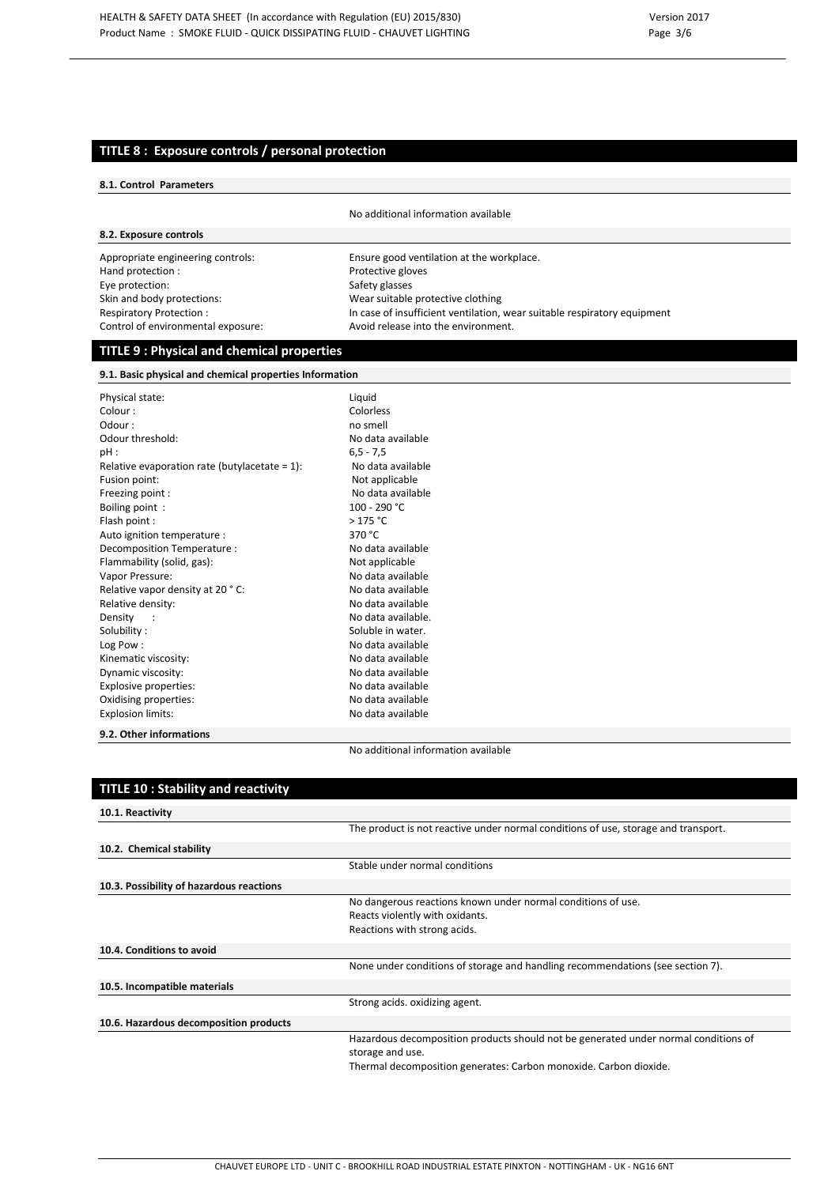## **TITLE 8 : Exposure controls / personal protection**

#### **8.1. Control Parameters**

No additional information available

## **8.2. Exposure controls**

Hand protection : The Protective gloves<br>
Eye protection : The Protective gloves<br>
Safety glasses Eye protection: Skin and body protections: Wear suitable protective clothing Control of environmental exposure: Avoid release into the environment.

Appropriate engineering controls: Ensure good ventilation at the workplace. Respiratory Protection : In case of insufficient ventilation, wear suitable respiratory equipment

## **TITLE 9 : Physical and chemical properties**

**9.1. Basic physical and chemical properties Information**

| Physical state:                                  | Liguid     |
|--------------------------------------------------|------------|
| Colour:                                          | Colorle    |
| Odour:                                           | no sm      |
| Odour threshold:                                 | No dat     |
| pH:                                              | $6, 5 - 7$ |
| Relative evaporation rate (butylacetate = $1$ ): | No da      |
| Fusion point:                                    | Not a      |
| Freezing point :                                 | No da      |
| Boiling point:                                   | $100 - 2$  |
| Flash point :                                    | >175       |
| Auto ignition temperature :                      | 370 °C     |
| Decomposition Temperature :                      | No dat     |
| Flammability (solid, gas):                       | Not ap     |
| Vapor Pressure:                                  | No dat     |
| Relative vapor density at 20 °C:                 | No dat     |
| Relative density:                                | No dat     |
| Density                                          | No dat     |
| Solubility:                                      | Solubl     |
| Log Pow:                                         | No dat     |
| Kinematic viscosity:                             | No dat     |
| Dynamic viscosity:                               | No dat     |
| Explosive properties:                            | No dat     |
| Oxidising properties:                            | No dat     |
| <b>Explosion limits:</b>                         | No dat     |
| 0.2.01                                           |            |

no smell No data available  $6, 5 - 7, 5$ No data available Not applicable No data available 100 - 290 °C  $> 175 °C$ <br>370 °C No data available Not applicable No data available No data available No data available No data available. Soluble in water. No data available No data available No data available No data available No data available No data available

Liquid Colorless

#### **9.2. Other informations**

No additional information available

| <b>TITLE 10: Stability and reactivity</b> |                                                                                                                                                                              |  |
|-------------------------------------------|------------------------------------------------------------------------------------------------------------------------------------------------------------------------------|--|
| 10.1. Reactivity                          |                                                                                                                                                                              |  |
|                                           | The product is not reactive under normal conditions of use, storage and transport.                                                                                           |  |
| 10.2. Chemical stability                  |                                                                                                                                                                              |  |
|                                           | Stable under normal conditions                                                                                                                                               |  |
| 10.3. Possibility of hazardous reactions  |                                                                                                                                                                              |  |
|                                           | No dangerous reactions known under normal conditions of use.<br>Reacts violently with oxidants.<br>Reactions with strong acids.                                              |  |
| 10.4. Conditions to avoid                 |                                                                                                                                                                              |  |
|                                           | None under conditions of storage and handling recommendations (see section 7).                                                                                               |  |
| 10.5. Incompatible materials              |                                                                                                                                                                              |  |
|                                           | Strong acids. oxidizing agent.                                                                                                                                               |  |
| 10.6. Hazardous decomposition products    |                                                                                                                                                                              |  |
|                                           | Hazardous decomposition products should not be generated under normal conditions of<br>storage and use.<br>Thermal decomposition generates: Carbon monoxide. Carbon dioxide. |  |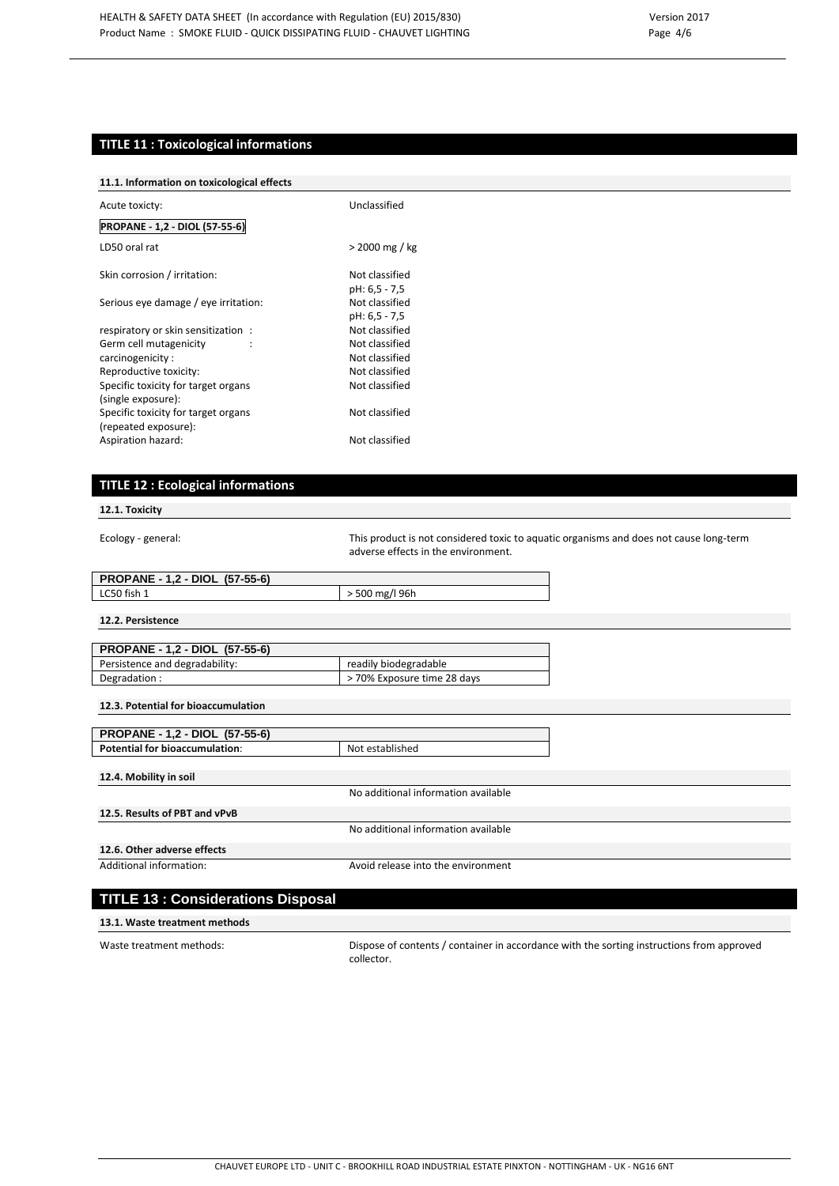# **TITLE 11 : Toxicological informations**

## **11.1. Information on toxicological effects**

| Acute toxicty:                                              | Unclassified                    |  |
|-------------------------------------------------------------|---------------------------------|--|
| <b>PROPANE - 1,2 - DIOL (57-55-6)</b>                       |                                 |  |
| LD50 oral rat                                               | > 2000 mg / kg                  |  |
| Skin corrosion / irritation:                                | Not classified<br>pH: 6,5 - 7,5 |  |
| Serious eye damage / eye irritation:                        | Not classified<br>pH: 6,5 - 7,5 |  |
| respiratory or skin sensitization:                          | Not classified                  |  |
| Germ cell mutagenicity                                      | Not classified                  |  |
| carcinogenicity:                                            | Not classified                  |  |
| Reproductive toxicity:                                      | Not classified                  |  |
| Specific toxicity for target organs<br>(single exposure):   | Not classified                  |  |
| Specific toxicity for target organs<br>(repeated exposure): | Not classified                  |  |
| Aspiration hazard:                                          | Not classified                  |  |

# **TITLE 12 : Ecological informations**

**12.1. Toxicity**

Ecology - general: This product is not considered toxic to aquatic organisms and does not cause long-term adverse effects in the environment.

| <b>PROPANE - 1,2 - DIOL (57-55-6)</b> |              |  |
|---------------------------------------|--------------|--|
| LC50 fish 1                           | 500 mg/l 96h |  |

**12.2. Persistence**

| <b>PROPANE - 1,2 - DIOL (57-55-6)</b> |                             |
|---------------------------------------|-----------------------------|
| Persistence and degradability:        | readily biodegradable       |
| Degradation:                          | > 70% Exposure time 28 days |

| PROPANE - 1,2 - DIOL (57-55-6)        |                                     |
|---------------------------------------|-------------------------------------|
| <b>Potential for bioaccumulation:</b> | Not established                     |
|                                       |                                     |
| 12.4. Mobility in soil                |                                     |
|                                       | No additional information available |
| 12.5. Results of PBT and vPvB         |                                     |

**12.6. Other adverse effects**

Additional information: Avoid release into the environment

No additional information available

# **TITLE 13 : Considerations Disposal**

#### **13.1. Waste treatment methods**

Waste treatment methods: Dispose of contents / container in accordance with the sorting instructions from approved collector.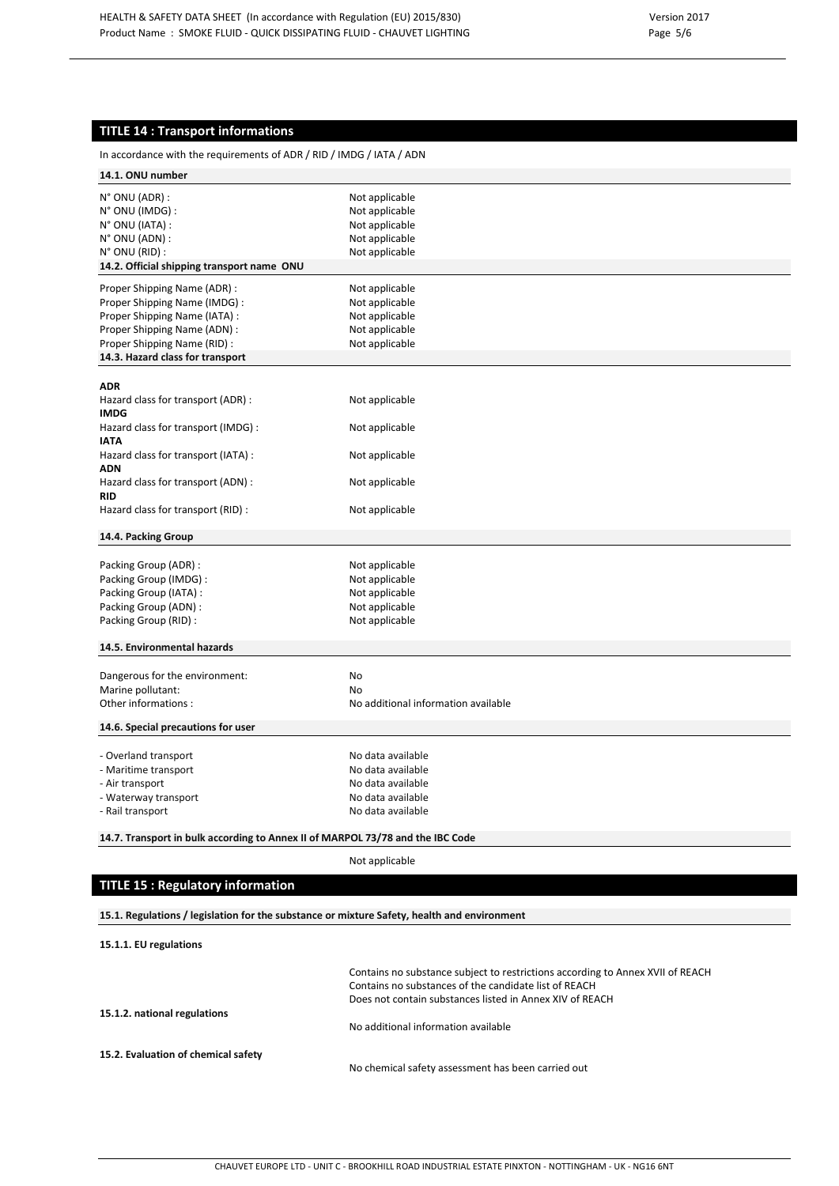# **TITLE 14 : Transport informations**

| In accordance with the requirements of ADR / RID / IMDG / IATA / ADN                        |                                                                                                                                         |  |  |
|---------------------------------------------------------------------------------------------|-----------------------------------------------------------------------------------------------------------------------------------------|--|--|
| 14.1. ONU number                                                                            |                                                                                                                                         |  |  |
| N° ONU (ADR) :                                                                              | Not applicable                                                                                                                          |  |  |
| N° ONU (IMDG) :                                                                             | Not applicable                                                                                                                          |  |  |
| N° ONU (IATA) :                                                                             | Not applicable                                                                                                                          |  |  |
| N° ONU (ADN) :                                                                              | Not applicable                                                                                                                          |  |  |
| N° ONU (RID) :                                                                              | Not applicable                                                                                                                          |  |  |
| 14.2. Official shipping transport name ONU                                                  |                                                                                                                                         |  |  |
|                                                                                             |                                                                                                                                         |  |  |
| Proper Shipping Name (ADR) :<br>Proper Shipping Name (IMDG) :                               | Not applicable<br>Not applicable                                                                                                        |  |  |
|                                                                                             |                                                                                                                                         |  |  |
| Proper Shipping Name (IATA) :                                                               | Not applicable                                                                                                                          |  |  |
| Proper Shipping Name (ADN) :                                                                | Not applicable                                                                                                                          |  |  |
| Proper Shipping Name (RID) :                                                                | Not applicable                                                                                                                          |  |  |
| 14.3. Hazard class for transport                                                            |                                                                                                                                         |  |  |
| <b>ADR</b>                                                                                  |                                                                                                                                         |  |  |
| Hazard class for transport (ADR) :<br><b>IMDG</b>                                           | Not applicable                                                                                                                          |  |  |
| Hazard class for transport (IMDG) :<br><b>IATA</b>                                          | Not applicable                                                                                                                          |  |  |
| Hazard class for transport (IATA) :<br><b>ADN</b>                                           | Not applicable                                                                                                                          |  |  |
| Hazard class for transport (ADN) :<br><b>RID</b>                                            | Not applicable                                                                                                                          |  |  |
| Hazard class for transport (RID) :                                                          | Not applicable                                                                                                                          |  |  |
| 14.4. Packing Group                                                                         |                                                                                                                                         |  |  |
| Packing Group (ADR):                                                                        | Not applicable                                                                                                                          |  |  |
| Packing Group (IMDG) :                                                                      | Not applicable                                                                                                                          |  |  |
| Packing Group (IATA) :                                                                      | Not applicable                                                                                                                          |  |  |
| Packing Group (ADN) :                                                                       | Not applicable                                                                                                                          |  |  |
| Packing Group (RID):                                                                        | Not applicable                                                                                                                          |  |  |
|                                                                                             |                                                                                                                                         |  |  |
| 14.5. Environmental hazards                                                                 |                                                                                                                                         |  |  |
| Dangerous for the environment:                                                              | No                                                                                                                                      |  |  |
| Marine pollutant:                                                                           | No                                                                                                                                      |  |  |
| Other informations:                                                                         | No additional information available                                                                                                     |  |  |
| 14.6. Special precautions for user                                                          |                                                                                                                                         |  |  |
|                                                                                             |                                                                                                                                         |  |  |
| - Overland transport                                                                        | No data available                                                                                                                       |  |  |
| - Maritime transport                                                                        | No data available                                                                                                                       |  |  |
| - Air transport                                                                             | No data available                                                                                                                       |  |  |
| - Waterway transport                                                                        | No data available                                                                                                                       |  |  |
| - Rail transport                                                                            | No data available                                                                                                                       |  |  |
| 14.7. Transport in bulk according to Annex II of MARPOL 73/78 and the IBC Code              |                                                                                                                                         |  |  |
|                                                                                             | Not applicable                                                                                                                          |  |  |
| <b>TITLE 15: Regulatory information</b>                                                     |                                                                                                                                         |  |  |
| 15.1. Regulations / legislation for the substance or mixture Safety, health and environment |                                                                                                                                         |  |  |
| 15.1.1. EU regulations                                                                      |                                                                                                                                         |  |  |
|                                                                                             | Contains no substance subject to restrictions according to Annex XVII of REACH<br>Contains no substances of the candidate list of REACH |  |  |
|                                                                                             | Does not contain substances listed in Annex XIV of REACH                                                                                |  |  |
| 15.1.2. national regulations                                                                |                                                                                                                                         |  |  |
|                                                                                             | No additional information available                                                                                                     |  |  |
|                                                                                             |                                                                                                                                         |  |  |
| 15.2. Evaluation of chemical safety                                                         | No chemical safety assessment has been carried out                                                                                      |  |  |
|                                                                                             |                                                                                                                                         |  |  |